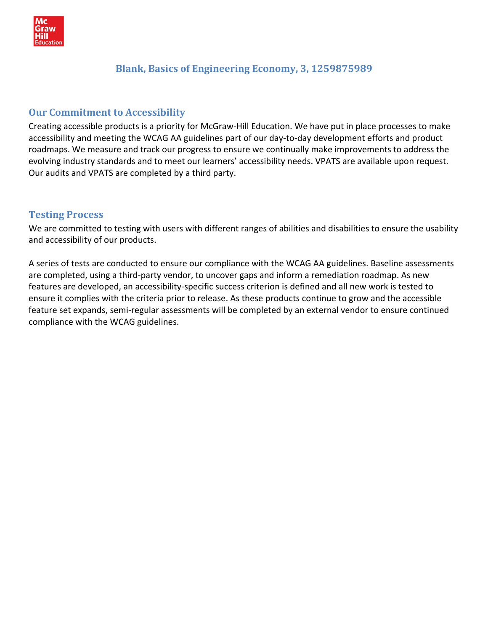

## **Blank, Basics of Engineering Economy, 3, 1259875989**

## **Our Commitment to Accessibility**

Creating accessible products is a priority for McGraw‐Hill Education. We have put in place processes to make accessibility and meeting the WCAG AA guidelines part of our day‐to‐day development efforts and product roadmaps. We measure and track our progress to ensure we continually make improvements to address the evolving industry standards and to meet our learners' accessibility needs. VPATS are available upon request. Our audits and VPATS are completed by a third party.

## **Testing Process**

We are committed to testing with users with different ranges of abilities and disabilities to ensure the usability and accessibility of our products.

A series of tests are conducted to ensure our compliance with the WCAG AA guidelines. Baseline assessments are completed, using a third‐party vendor, to uncover gaps and inform a remediation roadmap. As new features are developed, an accessibility‐specific success criterion is defined and all new work is tested to ensure it complies with the criteria prior to release. As these products continue to grow and the accessible feature set expands, semi‐regular assessments will be completed by an external vendor to ensure continued compliance with the WCAG guidelines.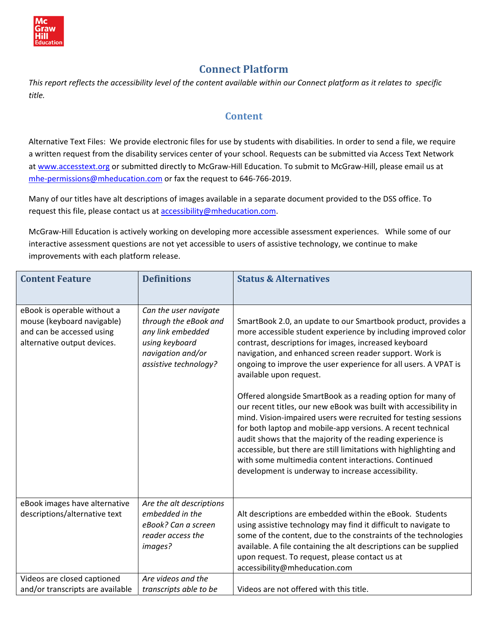

# **Connect Platform**

This report reflects the accessibility level of the content available within our Connect platform as it relates to specific *title.* 

### **Content**

Alternative Text Files: We provide electronic files for use by students with disabilities. In order to send a file, we require a written request from the disability services center of your school. Requests can be submitted via Access Text Network at [www.accesstext.org](http://www.accesstext.org/) or submitted directly to McGraw-Hill Education. To submit to McGraw-Hill, please email us at mhe-[permissions@mheducation.com](mailto:mhe-permissions@mheducation.com) or fax the request to 646-766-2019.

Many of our titles have alt descriptions of images available in a separate document provided to the DSS office. To request this file, please contact us at [accessibility@mheducation.com](mailto:accessibility@mheducation.com).

McGraw‐Hill Education is actively working on developing more accessible assessment experiences. While some of our interactive assessment questions are not yet accessible to users of assistive technology, we continue to make improvements with each platform release.

| <b>Content Feature</b>                                                                                                | <b>Definitions</b>                                                                                                                  | <b>Status &amp; Alternatives</b>                                                                                                                                                                                                                                                                                                                                                                                                                                                                                                                                                                                                                                                                                                                                                                                                                                        |
|-----------------------------------------------------------------------------------------------------------------------|-------------------------------------------------------------------------------------------------------------------------------------|-------------------------------------------------------------------------------------------------------------------------------------------------------------------------------------------------------------------------------------------------------------------------------------------------------------------------------------------------------------------------------------------------------------------------------------------------------------------------------------------------------------------------------------------------------------------------------------------------------------------------------------------------------------------------------------------------------------------------------------------------------------------------------------------------------------------------------------------------------------------------|
| eBook is operable without a<br>mouse (keyboard navigable)<br>and can be accessed using<br>alternative output devices. | Can the user navigate<br>through the eBook and<br>any link embedded<br>using keyboard<br>navigation and/or<br>assistive technology? | SmartBook 2.0, an update to our Smartbook product, provides a<br>more accessible student experience by including improved color<br>contrast, descriptions for images, increased keyboard<br>navigation, and enhanced screen reader support. Work is<br>ongoing to improve the user experience for all users. A VPAT is<br>available upon request.<br>Offered alongside SmartBook as a reading option for many of<br>our recent titles, our new eBook was built with accessibility in<br>mind. Vision-impaired users were recruited for testing sessions<br>for both laptop and mobile-app versions. A recent technical<br>audit shows that the majority of the reading experience is<br>accessible, but there are still limitations with highlighting and<br>with some multimedia content interactions. Continued<br>development is underway to increase accessibility. |
| eBook images have alternative<br>descriptions/alternative text                                                        | Are the alt descriptions<br>embedded in the<br>eBook? Can a screen<br>reader access the<br>images?                                  | Alt descriptions are embedded within the eBook. Students<br>using assistive technology may find it difficult to navigate to<br>some of the content, due to the constraints of the technologies<br>available. A file containing the alt descriptions can be supplied<br>upon request. To request, please contact us at<br>accessibility@mheducation.com                                                                                                                                                                                                                                                                                                                                                                                                                                                                                                                  |
| Videos are closed captioned<br>and/or transcripts are available                                                       | Are videos and the<br>transcripts able to be                                                                                        | Videos are not offered with this title.                                                                                                                                                                                                                                                                                                                                                                                                                                                                                                                                                                                                                                                                                                                                                                                                                                 |